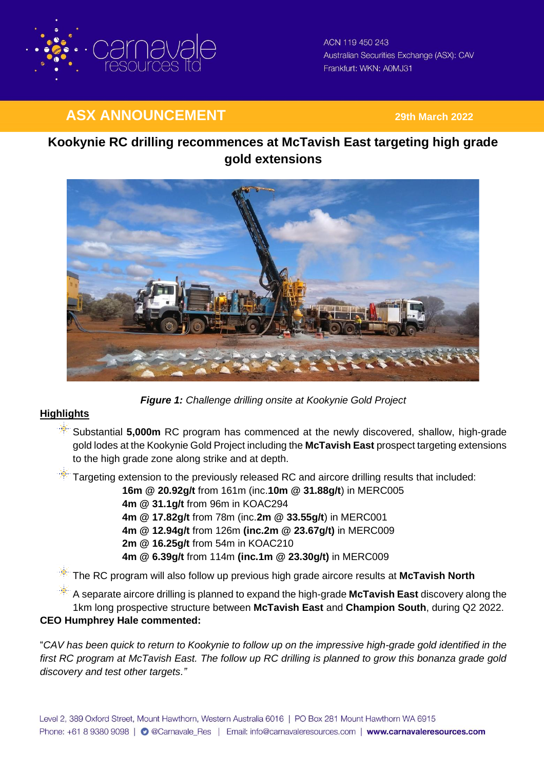

ACN 119 450 243 Australian Securities Exchange (ASX): CAV Frankfurt: WKN: A0MJ31

# **ASX ANNOUNCEMENT 29th March <sup>2022</sup>**

# **Kookynie RC drilling recommences at McTavish East targeting high grade gold extensions**



*Figure 1: Challenge drilling onsite at Kookynie Gold Project*

# **Highlights**

- **Substantial 5,000m** RC program has commenced at the newly discovered, shallow, high-grade gold lodes at the Kookynie Gold Project including the **McTavish East** prospect targeting extensions to the high grade zone along strike and at depth.
- $\mathbb{R}$  Targeting extension to the previously released RC and aircore drilling results that included:

**16m @ 20.92g/t** from 161m (inc.**10m @ 31.88g/t**) in MERC005

- **4m @ 31.1g/t** from 96m in KOAC294
- **4m @ 17.82g/t** from 78m (inc.**2m @ 33.55g/t**) in MERC001
- **4m @ 12.94g/t** from 126m **(inc.2m @ 23.67g/t)** in MERC009
- **2m @ 16.25g/t** from 54m in KOAC210
- **4m @ 6.39g/t** from 114m **(inc.1m @ 23.30g/t)** in MERC009

The RC program will also follow up previous high grade aircore results at **McTavish North**

A separate aircore drilling is planned to expand the high-grade **McTavish East** discovery along the 1km long prospective structure between **McTavish East** and **Champion South**, during Q2 2022.

## **CEO Humphrey Hale commented:**

"*CAV has been quick to return to Kookynie to follow up on the impressive high-grade gold identified in the first RC program at McTavish East. The follow up RC drilling is planned to grow this bonanza grade gold discovery and test other targets."*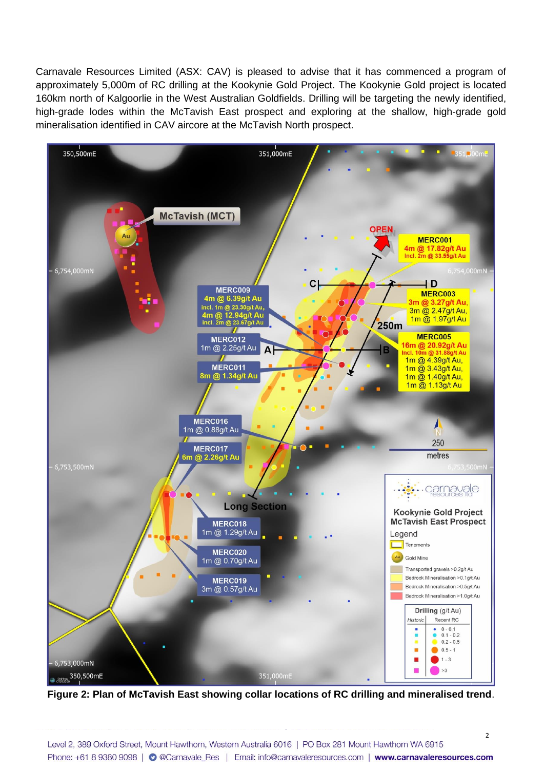Carnavale Resources Limited (ASX: CAV) is pleased to advise that it has commenced a program of approximately 5,000m of RC drilling at the Kookynie Gold Project. The Kookynie Gold project is located 160km north of Kalgoorlie in the West Australian Goldfields. Drilling will be targeting the newly identified, high-grade lodes within the McTavish East prospect and exploring at the shallow, high-grade gold mineralisation identified in CAV aircore at the McTavish North prospect.



**Figure 2: Plan of McTavish East showing collar locations of RC drilling and mineralised trend**.

 $\overline{\phantom{0}}$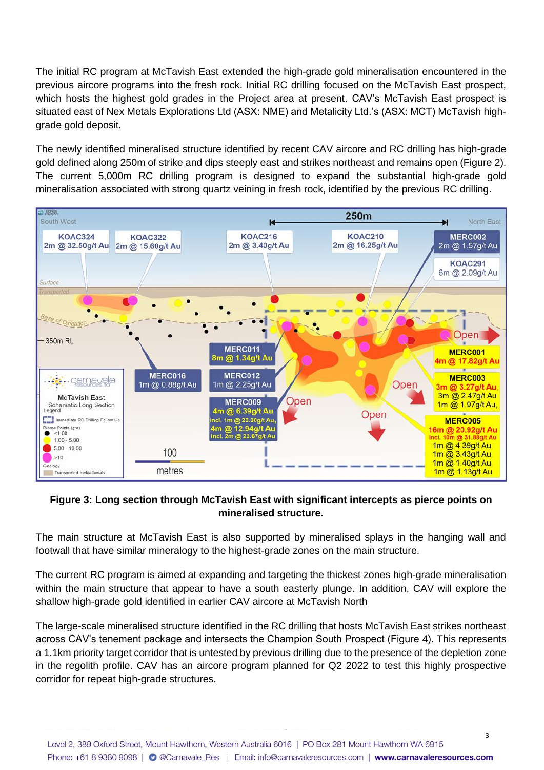The initial RC program at McTavish East extended the high-grade gold mineralisation encountered in the previous aircore programs into the fresh rock. Initial RC drilling focused on the McTavish East prospect, which hosts the highest gold grades in the Project area at present. CAV's McTavish East prospect is situated east of Nex Metals Explorations Ltd (ASX: NME) and Metalicity Ltd.'s (ASX: MCT) McTavish highgrade gold deposit.

The newly identified mineralised structure identified by recent CAV aircore and RC drilling has high-grade gold defined along 250m of strike and dips steeply east and strikes northeast and remains open (Figure 2). The current 5,000m RC drilling program is designed to expand the substantial high-grade gold mineralisation associated with strong quartz veining in fresh rock, identified by the previous RC drilling.



## **Figure 3: Long section through McTavish East with significant intercepts as pierce points on mineralised structure.**

The main structure at McTavish East is also supported by mineralised splays in the hanging wall and footwall that have similar mineralogy to the highest-grade zones on the main structure.

The current RC program is aimed at expanding and targeting the thickest zones high-grade mineralisation within the main structure that appear to have a south easterly plunge. In addition, CAV will explore the shallow high-grade gold identified in earlier CAV aircore at McTavish North

The large-scale mineralised structure identified in the RC drilling that hosts McTavish East strikes northeast across CAV's tenement package and intersects the Champion South Prospect (Figure 4). This represents a 1.1km priority target corridor that is untested by previous drilling due to the presence of the depletion zone in the regolith profile. CAV has an aircore program planned for Q2 2022 to test this highly prospective corridor for repeat high-grade structures.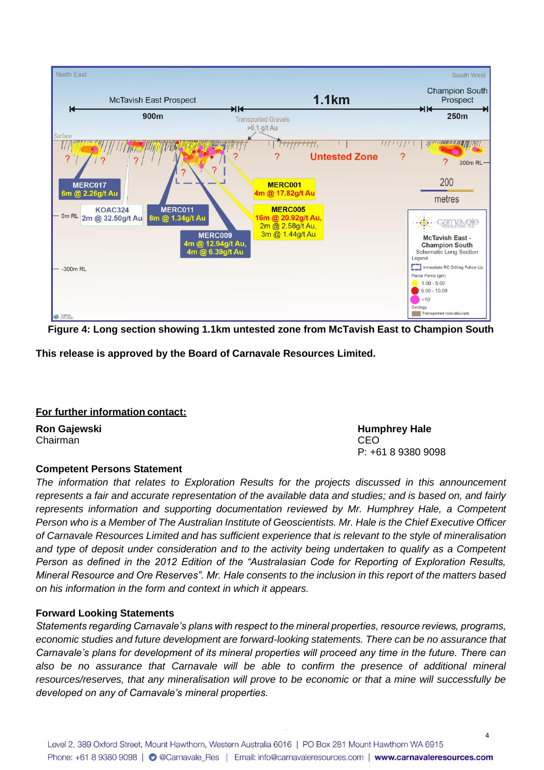

**Figure 4: Long section showing 1.1km untested zone from McTavish East to Champion South** 

**This release is approved by the Board of Carnavale Resources Limited.**

### **For further information contact:**

Chairman CEO

# **Competent Persons Statement**

*The information that relates to Exploration Results for the projects discussed in this announcement represents a fair and accurate representation of the available data and studies; and is based on, and fairly represents information and supporting documentation reviewed by Mr. Humphrey Hale, a Competent Person who is a Member of The Australian Institute of Geoscientists. Mr. Hale is the Chief Executive Officer of Carnavale Resources Limited and has sufficient experience that is relevant to the style of mineralisation*  and type of deposit under consideration and to the activity being undertaken to qualify as a Competent *Person as defined in the 2012 Edition of the "Australasian Code for Reporting of Exploration Results, Mineral Resource and Ore Reserves". Mr. Hale consents to the inclusion in this report of the matters based on his information in the form and context in which it appears.*

## **Forward Looking Statements**

*Statements regarding Carnavale's plans with respect to the mineral properties, resource reviews, programs, economic studies and future development are forward-looking statements. There can be no assurance that Carnavale's plans for development of its mineral properties will proceed any time in the future. There can also be no assurance that Carnavale will be able to confirm the presence of additional mineral resources/reserves, that any mineralisation will prove to be economic or that a mine will successfully be developed on any of Carnavale's mineral properties.*

**Ron Gajewski Humphrey Hale** P: +61 8 9380 9098

4